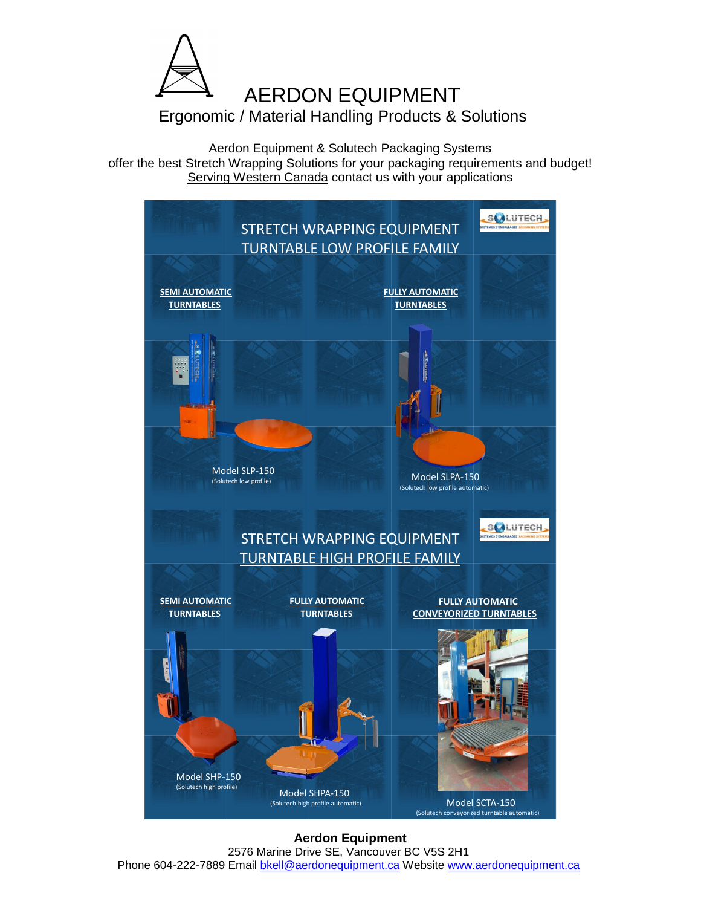

Aerdon Equipment & Solutech Packaging Systems offer the best Stretch Wrapping Solutions for your packaging requirements and budget! Serving Western Canada contact us with your applications



**Aerdon Equipment** 2576 Marine Drive SE, Vancouver BC V5S 2H1 Phone 604-222-7889 Email bkell@aerdonequipment.ca Website www.aerdonequipment.ca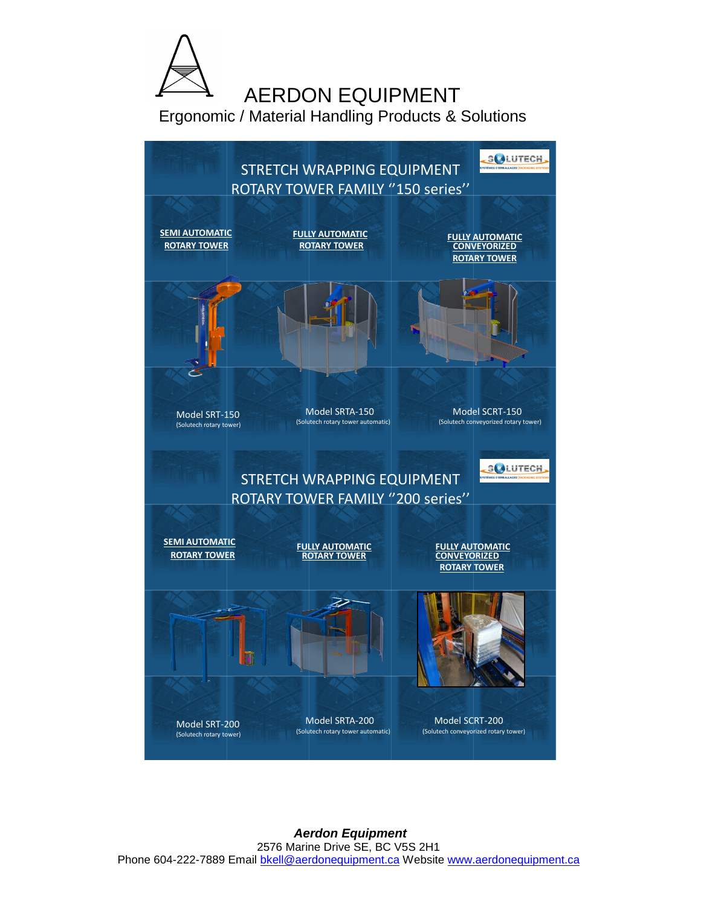

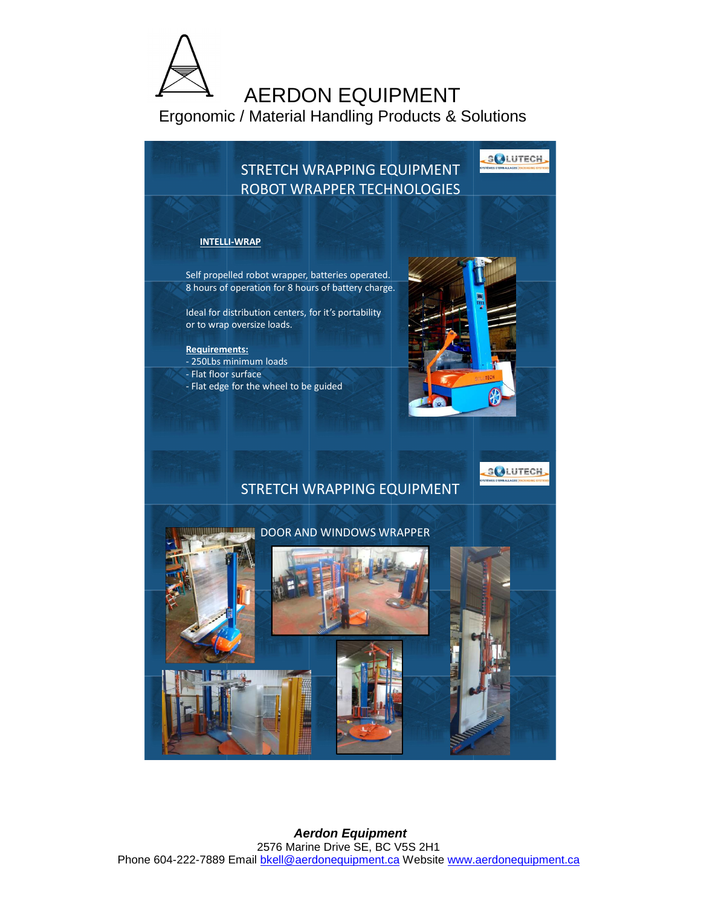

STRETCH WRAPPING EQUIPMENT ROBOT WRAPPER TECHNOLOGIES **SCALUTECH** 

**SCALUTECH** 

## **INTELLI-WRAP**

Self propelled robot wrapper, batteries operated. 8 hours of operation for 8 hours of battery charge.

Ideal for distribution centers, for it's portability or to wrap oversize loads.

**Requirements:** - 250Lbs minimum loads - Flat floor surface - Flat edge for the wheel to be guided

## STRETCH WRAPPING EQUIPMENT